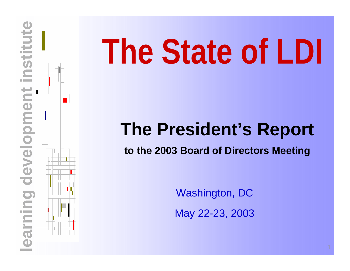

**www.learndev.org**

# **development in the State of LDI**<br> **The President's Report**<br> **to the 2003 Board of Directors Meeting**<br> **to the 2003 Board of Directors Meeting**<br>
Mashington, DC<br>
May 22-23, 2003<br>
May 22-23, 2003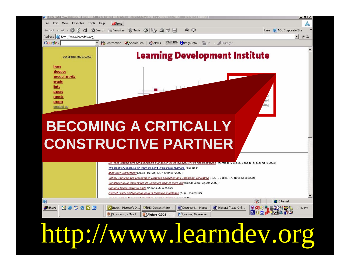

## http://www.learndev.org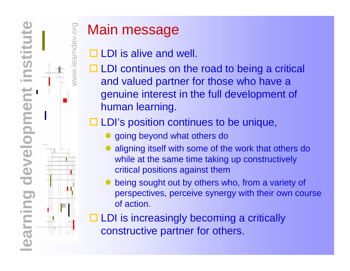

www.learndev.org

ww.learndev.org

## Main message

- $\Box$  LDI is alive and well.
- $\Box$  LDI continues on the road to being a critical and valued partner for those who have a genuine interest in the full development of human learning.

□ LDI's position continues to be unique,

- going beyond what others do
- $\bullet$  aligning itself with some of the work that others do while at the same time taking up constructively critical positions against them
- $\bullet$  being sought out by others who, from a variety of perspectives, perceive synergy with their own course of action.

 $\Box$  LDI is increasingly becoming a critically constructive partner for others.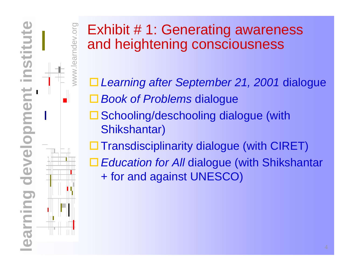

## www.learndev.org **ORV.Org**

## Exhibit # 1: Generating awareness and heightening consciousness

- *Learning after September 21, 2001* dialogue
- *Book of Problems* dialogue
	- □ Schooling/deschooling dialogue (with Shikshantar)
	- $\square$  Transdisciplinarity dialogue (with CIRET)
	- *Education for All* dialogue (with Shikshantar + for and against UNESCO)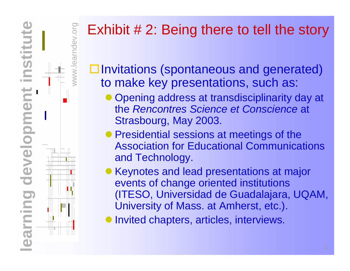

# www.learndev.org

## Exhibit # 2: Being there to tell the story

 $\square$  Invitations (spontaneous and generated) to make key presentations, such as:

- Opening address at transdisciplinarity day at the *Rencontres Science et Conscience* at Strasbourg, May 2003.
- Presidential sessions at meetings of the Association for Educational Communications and Technology.
- Keynotes and lead presentations at major events of change oriented institutions (ITESO, Universidad de Guadalajara, UQAM, University of Mass. at Amherst, etc.).
- $\bullet$ Invited chapters, articles, interviews.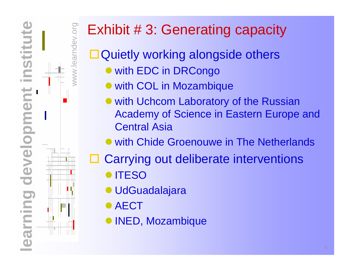

## www.learndev.org earndev.org

## Exhibit # 3: Generating capacity

□ Quietly working alongside others  $\bullet$  with EDC in DRCongo

- with COL in Mozambique
- with Uchcom Laboratory of the Russian Academy of Science in Eastern Europe and Central Asia
- with Chide Groenouwe in The Netherlands
- ⊔ Carrying out deliberate interventions
	- $\bullet$  **ITESO**
	- **UdGuadalajara**
	- **AECT**
	- $\bullet$ INED, Mozambique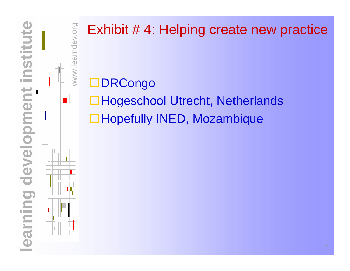

## Exhibit # 4: Helping create new practice

□DRCongo

www.learndev.org

WWW.

ndev.org

□Hogeschool Utrecht, Netherlands □Hopefully INED, Mozambique